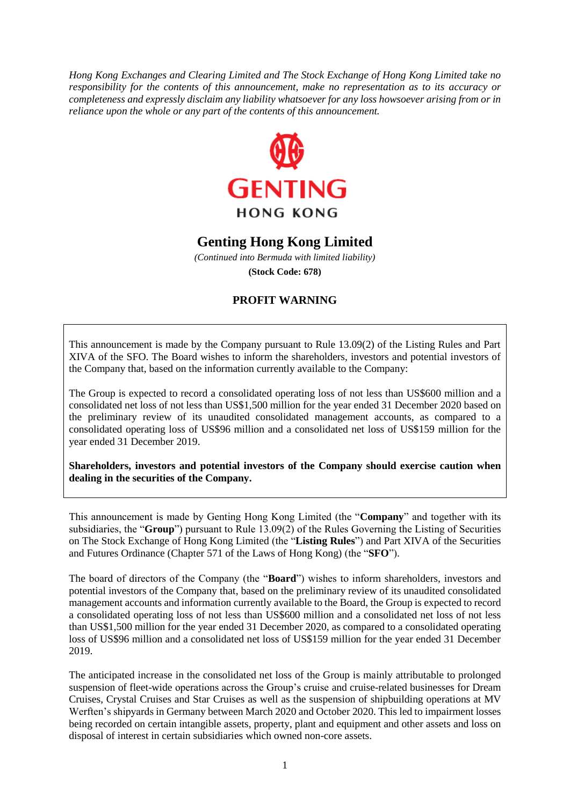*Hong Kong Exchanges and Clearing Limited and The Stock Exchange of Hong Kong Limited take no responsibility for the contents of this announcement, make no representation as to its accuracy or completeness and expressly disclaim any liability whatsoever for any loss howsoever arising from or in reliance upon the whole or any part of the contents of this announcement.*



## **Genting Hong Kong Limited**

*(Continued into Bermuda with limited liability)* **(Stock Code: 678)**

## **PROFIT WARNING**

This announcement is made by the Company pursuant to Rule 13.09(2) of the Listing Rules and Part XIVA of the SFO. The Board wishes to inform the shareholders, investors and potential investors of the Company that, based on the information currently available to the Company:

The Group is expected to record a consolidated operating loss of not less than US\$600 million and a consolidated net loss of not less than US\$1,500 million for the year ended 31 December 2020 based on the preliminary review of its unaudited consolidated management accounts, as compared to a consolidated operating loss of US\$96 million and a consolidated net loss of US\$159 million for the year ended 31 December 2019.

**Shareholders, investors and potential investors of the Company should exercise caution when dealing in the securities of the Company.**

This announcement is made by Genting Hong Kong Limited (the "**Company**" and together with its subsidiaries, the "**Group**") pursuant to Rule 13.09(2) of the Rules Governing the Listing of Securities on The Stock Exchange of Hong Kong Limited (the "**Listing Rules**") and Part XIVA of the Securities and Futures Ordinance (Chapter 571 of the Laws of Hong Kong) (the "**SFO**").

The board of directors of the Company (the "**Board**") wishes to inform shareholders, investors and potential investors of the Company that, based on the preliminary review of its unaudited consolidated management accounts and information currently available to the Board, the Group is expected to record a consolidated operating loss of not less than US\$600 million and a consolidated net loss of not less than US\$1,500 million for the year ended 31 December 2020, as compared to a consolidated operating loss of US\$96 million and a consolidated net loss of US\$159 million for the year ended 31 December 2019.

The anticipated increase in the consolidated net loss of the Group is mainly attributable to prolonged suspension of fleet-wide operations across the Group's cruise and cruise-related businesses for Dream Cruises, Crystal Cruises and Star Cruises as well as the suspension of shipbuilding operations at MV Werften's shipyards in Germany between March 2020 and October 2020. This led to impairment losses being recorded on certain intangible assets, property, plant and equipment and other assets and loss on disposal of interest in certain subsidiaries which owned non-core assets.